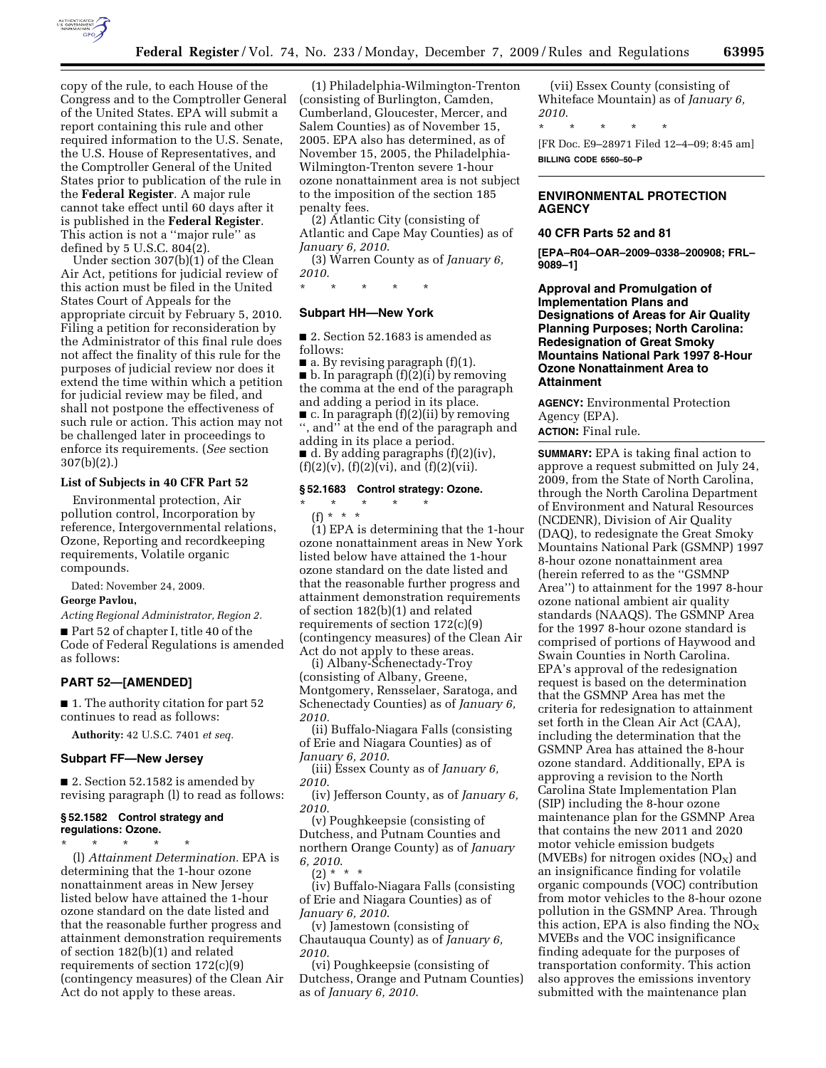

copy of the rule, to each House of the Congress and to the Comptroller General of the United States. EPA will submit a report containing this rule and other required information to the U.S. Senate, the U.S. House of Representatives, and the Comptroller General of the United States prior to publication of the rule in the **Federal Register**. A major rule cannot take effect until 60 days after it is published in the **Federal Register**. This action is not a ''major rule'' as defined by 5 U.S.C. 804(2).

Under section 307(b)(1) of the Clean Air Act, petitions for judicial review of this action must be filed in the United States Court of Appeals for the appropriate circuit by February 5, 2010. Filing a petition for reconsideration by the Administrator of this final rule does not affect the finality of this rule for the purposes of judicial review nor does it extend the time within which a petition for judicial review may be filed, and shall not postpone the effectiveness of such rule or action. This action may not be challenged later in proceedings to enforce its requirements. (*See* section 307(b)(2).)

### **List of Subjects in 40 CFR Part 52**

Environmental protection, Air pollution control, Incorporation by reference, Intergovernmental relations, Ozone, Reporting and recordkeeping requirements, Volatile organic compounds.

Dated: November 24, 2009.

#### **George Pavlou,**

*Acting Regional Administrator, Region 2.* 

■ Part 52 of chapter I, title 40 of the Code of Federal Regulations is amended as follows:

#### **PART 52—[AMENDED]**

■ 1. The authority citation for part 52 continues to read as follows:

**Authority:** 42 U.S.C. 7401 *et seq.* 

### **Subpart FF—New Jersey**

■ 2. Section 52.1582 is amended by revising paragraph (l) to read as follows:

#### **§ 52.1582 Control strategy and regulations: Ozone.**

\* \* \* \* \* (l) *Attainment Determination.* EPA is determining that the 1-hour ozone nonattainment areas in New Jersey listed below have attained the 1-hour ozone standard on the date listed and that the reasonable further progress and attainment demonstration requirements of section 182(b)(1) and related requirements of section 172(c)(9) (contingency measures) of the Clean Air Act do not apply to these areas.

(1) Philadelphia-Wilmington-Trenton (consisting of Burlington, Camden, Cumberland, Gloucester, Mercer, and Salem Counties) as of November 15, 2005. EPA also has determined, as of November 15, 2005, the Philadelphia-Wilmington-Trenton severe 1-hour ozone nonattainment area is not subject to the imposition of the section 185 penalty fees.

(2) Atlantic City (consisting of Atlantic and Cape May Counties) as of *January 6, 2010*.

(3) Warren County as of *January 6, 2010*.

\* \* \* \* \*

#### **Subpart HH—New York**

■ 2. Section 52.1683 is amended as follows:

 $\blacksquare$  a. By revising paragraph (f)(1). ■ b. In paragraph (f)(2)(i) by removing the comma at the end of the paragraph and adding a period in its place.

■ c. In paragraph (f)(2)(ii) by removing '', and'' at the end of the paragraph and adding in its place a period.

 $\blacksquare$  d. By adding paragraphs (f)(2)(iv),  $(f)(2)(v)$ ,  $(f)(2)(vi)$ , and  $(f)(2)(vii)$ .

# **§ 52.1683 Control strategy: Ozone.**

#### \* \* \* \* \* (f) \* \* \*

(1) EPA is determining that the 1-hour ozone nonattainment areas in New York listed below have attained the 1-hour ozone standard on the date listed and that the reasonable further progress and attainment demonstration requirements of section 182(b)(1) and related requirements of section 172(c)(9) (contingency measures) of the Clean Air Act do not apply to these areas.

(i) Albany-Schenectady-Troy (consisting of Albany, Greene, Montgomery, Rensselaer, Saratoga, and Schenectady Counties) as of *January 6, 2010.* 

(ii) Buffalo-Niagara Falls (consisting of Erie and Niagara Counties) as of *January 6, 2010*.

(iii) Essex County as of *January 6, 2010*.

(iv) Jefferson County, as of *January 6, 2010*.

(v) Poughkeepsie (consisting of Dutchess, and Putnam Counties and northern Orange County) as of *January 6, 2010*.

 $(2) * * * *$ 

(iv) Buffalo-Niagara Falls (consisting of Erie and Niagara Counties) as of *January 6, 2010*.

(v) Jamestown (consisting of Chautauqua County) as of *January 6, 2010*.

(vi) Poughkeepsie (consisting of Dutchess, Orange and Putnam Counties) as of *January 6, 2010*.

(vii) Essex County (consisting of Whiteface Mountain) as of *January 6, 2010*.

\* \* \* \* \*

[FR Doc. E9–28971 Filed 12–4–09; 8:45 am] **BILLING CODE 6560–50–P** 

# **ENVIRONMENTAL PROTECTION AGENCY**

#### **40 CFR Parts 52 and 81**

**[EPA–R04–OAR–2009–0338–200908; FRL– 9089–1]** 

**Approval and Promulgation of Implementation Plans and Designations of Areas for Air Quality Planning Purposes; North Carolina: Redesignation of Great Smoky Mountains National Park 1997 8-Hour Ozone Nonattainment Area to Attainment** 

**AGENCY:** Environmental Protection Agency (EPA). **ACTION:** Final rule.

**SUMMARY:** EPA is taking final action to approve a request submitted on July 24, 2009, from the State of North Carolina, through the North Carolina Department of Environment and Natural Resources (NCDENR), Division of Air Quality (DAQ), to redesignate the Great Smoky Mountains National Park (GSMNP) 1997 8-hour ozone nonattainment area (herein referred to as the ''GSMNP Area'') to attainment for the 1997 8-hour ozone national ambient air quality standards (NAAQS). The GSMNP Area for the 1997 8-hour ozone standard is comprised of portions of Haywood and Swain Counties in North Carolina. EPA's approval of the redesignation request is based on the determination that the GSMNP Area has met the criteria for redesignation to attainment set forth in the Clean Air Act (CAA), including the determination that the GSMNP Area has attained the 8-hour ozone standard. Additionally, EPA is approving a revision to the North Carolina State Implementation Plan (SIP) including the 8-hour ozone maintenance plan for the GSMNP Area that contains the new 2011 and 2020 motor vehicle emission budgets (MVEBs) for nitrogen oxides  $(NO<sub>x</sub>)$  and an insignificance finding for volatile organic compounds (VOC) contribution from motor vehicles to the 8-hour ozone pollution in the GSMNP Area. Through this action, EPA is also finding the  $NO<sub>X</sub>$ MVEBs and the VOC insignificance finding adequate for the purposes of transportation conformity. This action also approves the emissions inventory submitted with the maintenance plan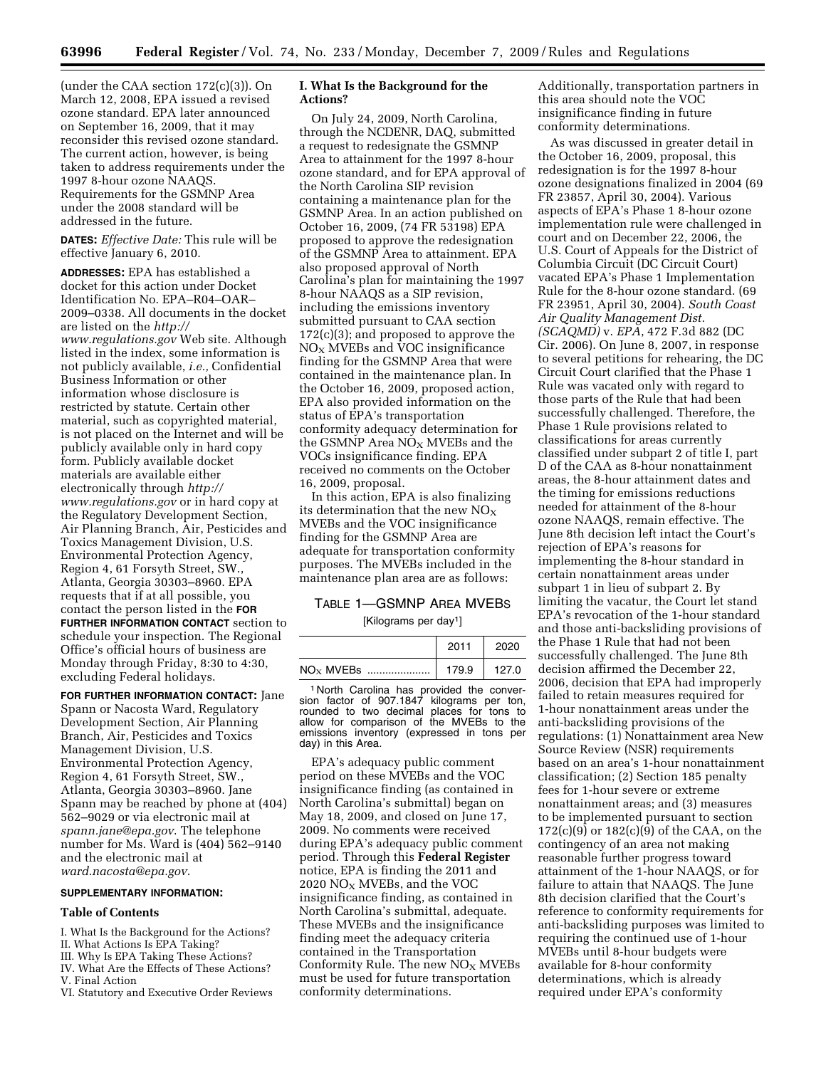(under the CAA section 172(c)(3)). On March 12, 2008, EPA issued a revised ozone standard. EPA later announced on September 16, 2009, that it may reconsider this revised ozone standard. The current action, however, is being taken to address requirements under the 1997 8-hour ozone NAAQS. Requirements for the GSMNP Area under the 2008 standard will be addressed in the future.

**DATES:** *Effective Date:* This rule will be effective January 6, 2010.

**ADDRESSES:** EPA has established a docket for this action under Docket Identification No. EPA–R04–OAR– 2009–0338. All documents in the docket are listed on the *http:// www.regulations.gov* Web site. Although listed in the index, some information is not publicly available, *i.e.,* Confidential Business Information or other information whose disclosure is restricted by statute. Certain other material, such as copyrighted material, is not placed on the Internet and will be publicly available only in hard copy form. Publicly available docket materials are available either electronically through *http:// www.regulations.gov* or in hard copy at the Regulatory Development Section, Air Planning Branch, Air, Pesticides and Toxics Management Division, U.S. Environmental Protection Agency, Region 4, 61 Forsyth Street, SW., Atlanta, Georgia 30303–8960. EPA requests that if at all possible, you contact the person listed in the **FOR FURTHER INFORMATION CONTACT** section to schedule your inspection. The Regional Office's official hours of business are Monday through Friday, 8:30 to 4:30, excluding Federal holidays.

**FOR FURTHER INFORMATION CONTACT:** Jane Spann or Nacosta Ward, Regulatory Development Section, Air Planning Branch, Air, Pesticides and Toxics Management Division, U.S. Environmental Protection Agency, Region 4, 61 Forsyth Street, SW., Atlanta, Georgia 30303–8960. Jane Spann may be reached by phone at (404) 562–9029 or via electronic mail at *spann.jane@epa.gov*. The telephone number for Ms. Ward is (404) 562–9140 and the electronic mail at *ward.nacosta@epa.gov*.

## **SUPPLEMENTARY INFORMATION:**

#### **Table of Contents**

- I. What Is the Background for the Actions?
- II. What Actions Is EPA Taking?
- III. Why Is EPA Taking These Actions?
- IV. What Are the Effects of These Actions?
- V. Final Action
- VI. Statutory and Executive Order Reviews

# **I. What Is the Background for the Actions?**

On July 24, 2009, North Carolina, through the NCDENR, DAQ, submitted a request to redesignate the GSMNP Area to attainment for the 1997 8-hour ozone standard, and for EPA approval of the North Carolina SIP revision containing a maintenance plan for the GSMNP Area. In an action published on October 16, 2009, (74 FR 53198) EPA proposed to approve the redesignation of the GSMNP Area to attainment. EPA also proposed approval of North Carolina's plan for maintaining the 1997 8-hour NAAQS as a SIP revision, including the emissions inventory submitted pursuant to CAA section 172(c)(3); and proposed to approve the NO<sub>X</sub> MVEBs and VOC insignificance finding for the GSMNP Area that were contained in the maintenance plan. In the October 16, 2009, proposed action, EPA also provided information on the status of EPA's transportation conformity adequacy determination for the GSMNP Area  $NO<sub>X</sub>$  MVEBs and the VOCs insignificance finding. EPA received no comments on the October 16, 2009, proposal.

In this action, EPA is also finalizing its determination that the new  $NO<sub>x</sub>$ MVEBs and the VOC insignificance finding for the GSMNP Area are adequate for transportation conformity purposes. The MVEBs included in the maintenance plan area are as follows:

#### TABLE 1—GSMNP AREA MVEBS

[Kilograms per day1]

|              | 2011  |       |
|--------------|-------|-------|
| $NO_x$ MVEBs | 179.9 | 127.0 |

1 North Carolina has provided the conversion factor of 907.1847 kilograms per ton, rounded to two decimal places for tons to allow for comparison of the MVEBs to the emissions inventory (expressed in tons per day) in this Area.

EPA's adequacy public comment period on these MVEBs and the VOC insignificance finding (as contained in North Carolina's submittal) began on May 18, 2009, and closed on June 17, 2009. No comments were received during EPA's adequacy public comment period. Through this **Federal Register**  notice, EPA is finding the 2011 and 2020  $NO<sub>X</sub>$  MVEBs, and the VOC insignificance finding, as contained in North Carolina's submittal, adequate. These MVEBs and the insignificance finding meet the adequacy criteria contained in the Transportation Conformity Rule. The new  $NO<sub>x</sub>$  MVEBs must be used for future transportation conformity determinations.

Additionally, transportation partners in this area should note the VOC insignificance finding in future conformity determinations.

As was discussed in greater detail in the October 16, 2009, proposal, this redesignation is for the 1997 8-hour ozone designations finalized in 2004 (69 FR 23857, April 30, 2004). Various aspects of EPA's Phase 1 8-hour ozone implementation rule were challenged in court and on December 22, 2006, the U.S. Court of Appeals for the District of Columbia Circuit (DC Circuit Court) vacated EPA's Phase 1 Implementation Rule for the 8-hour ozone standard. (69 FR 23951, April 30, 2004). *South Coast Air Quality Management Dist. (SCAQMD)* v. *EPA*, 472 F.3d 882 (DC Cir. 2006). On June 8, 2007, in response to several petitions for rehearing, the DC Circuit Court clarified that the Phase 1 Rule was vacated only with regard to those parts of the Rule that had been successfully challenged. Therefore, the Phase 1 Rule provisions related to classifications for areas currently classified under subpart 2 of title I, part D of the CAA as 8-hour nonattainment areas, the 8-hour attainment dates and the timing for emissions reductions needed for attainment of the 8-hour ozone NAAQS, remain effective. The June 8th decision left intact the Court's rejection of EPA's reasons for implementing the 8-hour standard in certain nonattainment areas under subpart 1 in lieu of subpart 2. By limiting the vacatur, the Court let stand EPA's revocation of the 1-hour standard and those anti-backsliding provisions of the Phase 1 Rule that had not been successfully challenged. The June 8th decision affirmed the December 22, 2006, decision that EPA had improperly failed to retain measures required for 1-hour nonattainment areas under the anti-backsliding provisions of the regulations: (1) Nonattainment area New Source Review (NSR) requirements based on an area's 1-hour nonattainment classification; (2) Section 185 penalty fees for 1-hour severe or extreme nonattainment areas; and (3) measures to be implemented pursuant to section  $172(c)(9)$  or  $182(c)(9)$  of the CAA, on the contingency of an area not making reasonable further progress toward attainment of the 1-hour NAAQS, or for failure to attain that NAAQS. The June 8th decision clarified that the Court's reference to conformity requirements for anti-backsliding purposes was limited to requiring the continued use of 1-hour MVEBs until 8-hour budgets were available for 8-hour conformity determinations, which is already required under EPA's conformity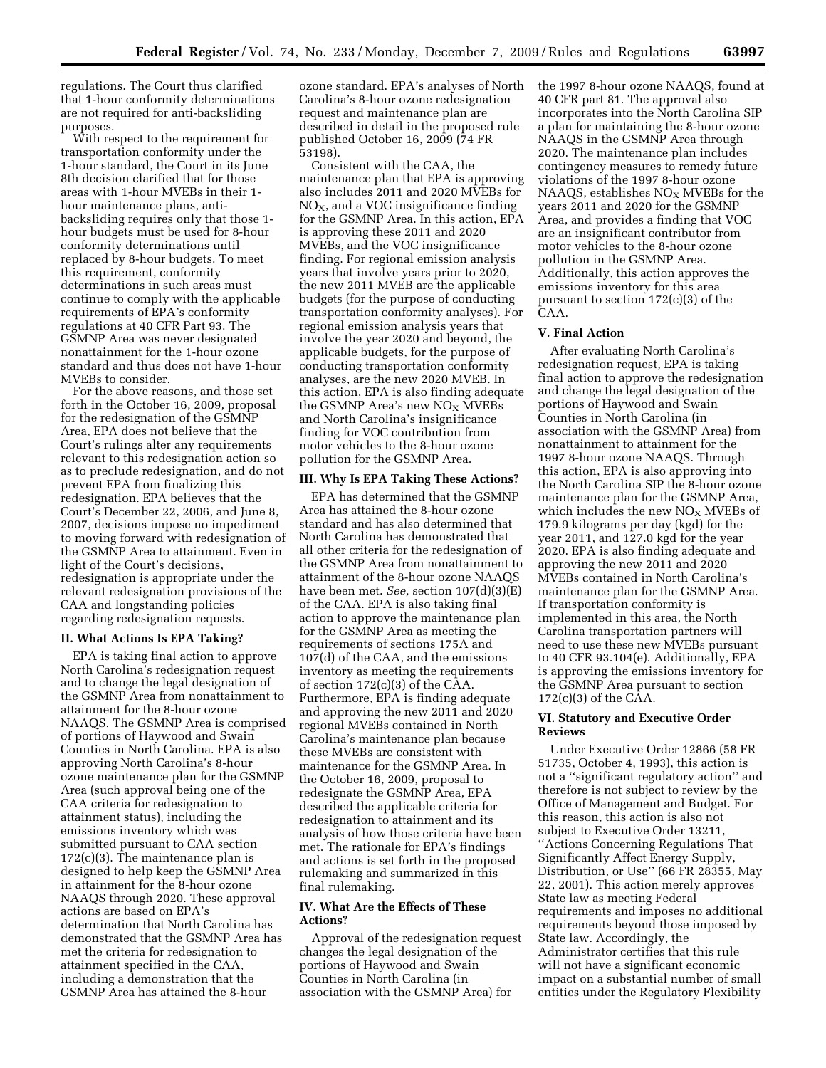regulations. The Court thus clarified that 1-hour conformity determinations are not required for anti-backsliding purposes.

With respect to the requirement for transportation conformity under the 1-hour standard, the Court in its June 8th decision clarified that for those areas with 1-hour MVEBs in their 1 hour maintenance plans, antibacksliding requires only that those 1 hour budgets must be used for 8-hour conformity determinations until replaced by 8-hour budgets. To meet this requirement, conformity determinations in such areas must continue to comply with the applicable requirements of EPA's conformity regulations at 40 CFR Part 93. The GSMNP Area was never designated nonattainment for the 1-hour ozone standard and thus does not have 1-hour MVEBs to consider.

For the above reasons, and those set forth in the October 16, 2009, proposal for the redesignation of the GSMNP Area, EPA does not believe that the Court's rulings alter any requirements relevant to this redesignation action so as to preclude redesignation, and do not prevent EPA from finalizing this redesignation. EPA believes that the Court's December 22, 2006, and June 8, 2007, decisions impose no impediment to moving forward with redesignation of the GSMNP Area to attainment. Even in light of the Court's decisions, redesignation is appropriate under the relevant redesignation provisions of the CAA and longstanding policies regarding redesignation requests.

#### **II. What Actions Is EPA Taking?**

EPA is taking final action to approve North Carolina's redesignation request and to change the legal designation of the GSMNP Area from nonattainment to attainment for the 8-hour ozone NAAQS. The GSMNP Area is comprised of portions of Haywood and Swain Counties in North Carolina. EPA is also approving North Carolina's 8-hour ozone maintenance plan for the GSMNP Area (such approval being one of the CAA criteria for redesignation to attainment status), including the emissions inventory which was submitted pursuant to CAA section  $172(c)(3)$ . The maintenance plan is designed to help keep the GSMNP Area in attainment for the 8-hour ozone NAAQS through 2020. These approval actions are based on EPA's determination that North Carolina has demonstrated that the GSMNP Area has met the criteria for redesignation to attainment specified in the CAA, including a demonstration that the GSMNP Area has attained the 8-hour

ozone standard. EPA's analyses of North Carolina's 8-hour ozone redesignation request and maintenance plan are described in detail in the proposed rule published October 16, 2009 (74 FR 53198).

Consistent with the CAA, the maintenance plan that EPA is approving also includes 2011 and 2020 MVEBs for  $NO<sub>X</sub>$ , and a VOC insignificance finding for the GSMNP Area. In this action, EPA is approving these 2011 and 2020 MVEBs, and the VOC insignificance finding. For regional emission analysis years that involve years prior to 2020, the new 2011 MVEB are the applicable budgets (for the purpose of conducting transportation conformity analyses). For regional emission analysis years that involve the year 2020 and beyond, the applicable budgets, for the purpose of conducting transportation conformity analyses, are the new 2020 MVEB. In this action, EPA is also finding adequate the GSMNP Area's new  $NO<sub>x</sub>$  MVEBs and North Carolina's insignificance finding for VOC contribution from motor vehicles to the 8-hour ozone pollution for the GSMNP Area.

#### **III. Why Is EPA Taking These Actions?**

EPA has determined that the GSMNP Area has attained the 8-hour ozone standard and has also determined that North Carolina has demonstrated that all other criteria for the redesignation of the GSMNP Area from nonattainment to attainment of the 8-hour ozone NAAQS have been met. *See,* section 107(d)(3)(E) of the CAA. EPA is also taking final action to approve the maintenance plan for the GSMNP Area as meeting the requirements of sections 175A and 107(d) of the CAA, and the emissions inventory as meeting the requirements of section 172(c)(3) of the CAA. Furthermore, EPA is finding adequate and approving the new 2011 and 2020 regional MVEBs contained in North Carolina's maintenance plan because these MVEBs are consistent with maintenance for the GSMNP Area. In the October 16, 2009, proposal to redesignate the GSMNP Area, EPA described the applicable criteria for redesignation to attainment and its analysis of how those criteria have been met. The rationale for EPA's findings and actions is set forth in the proposed rulemaking and summarized in this final rulemaking.

## **IV. What Are the Effects of These Actions?**

Approval of the redesignation request changes the legal designation of the portions of Haywood and Swain Counties in North Carolina (in association with the GSMNP Area) for

the 1997 8-hour ozone NAAQS, found at 40 CFR part 81. The approval also incorporates into the North Carolina SIP a plan for maintaining the 8-hour ozone NAAQS in the GSMNP Area through 2020. The maintenance plan includes contingency measures to remedy future violations of the 1997 8-hour ozone NAAQS, establishes  $NO<sub>x</sub>$  MVEBs for the years 2011 and 2020 for the GSMNP Area, and provides a finding that VOC are an insignificant contributor from motor vehicles to the 8-hour ozone pollution in the GSMNP Area. Additionally, this action approves the emissions inventory for this area pursuant to section 172(c)(3) of the CAA.

## **V. Final Action**

After evaluating North Carolina's redesignation request, EPA is taking final action to approve the redesignation and change the legal designation of the portions of Haywood and Swain Counties in North Carolina (in association with the GSMNP Area) from nonattainment to attainment for the 1997 8-hour ozone NAAQS. Through this action, EPA is also approving into the North Carolina SIP the 8-hour ozone maintenance plan for the GSMNP Area, which includes the new  $NO<sub>X</sub>$  MVEBs of 179.9 kilograms per day (kgd) for the year 2011, and 127.0 kgd for the year 2020. EPA is also finding adequate and approving the new 2011 and 2020 MVEBs contained in North Carolina's maintenance plan for the GSMNP Area. If transportation conformity is implemented in this area, the North Carolina transportation partners will need to use these new MVEBs pursuant to 40 CFR 93.104(e). Additionally, EPA is approving the emissions inventory for the GSMNP Area pursuant to section 172(c)(3) of the CAA.

## **VI. Statutory and Executive Order Reviews**

Under Executive Order 12866 (58 FR 51735, October 4, 1993), this action is not a ''significant regulatory action'' and therefore is not subject to review by the Office of Management and Budget. For this reason, this action is also not subject to Executive Order 13211, ''Actions Concerning Regulations That Significantly Affect Energy Supply, Distribution, or Use'' (66 FR 28355, May 22, 2001). This action merely approves State law as meeting Federal requirements and imposes no additional requirements beyond those imposed by State law. Accordingly, the Administrator certifies that this rule will not have a significant economic impact on a substantial number of small entities under the Regulatory Flexibility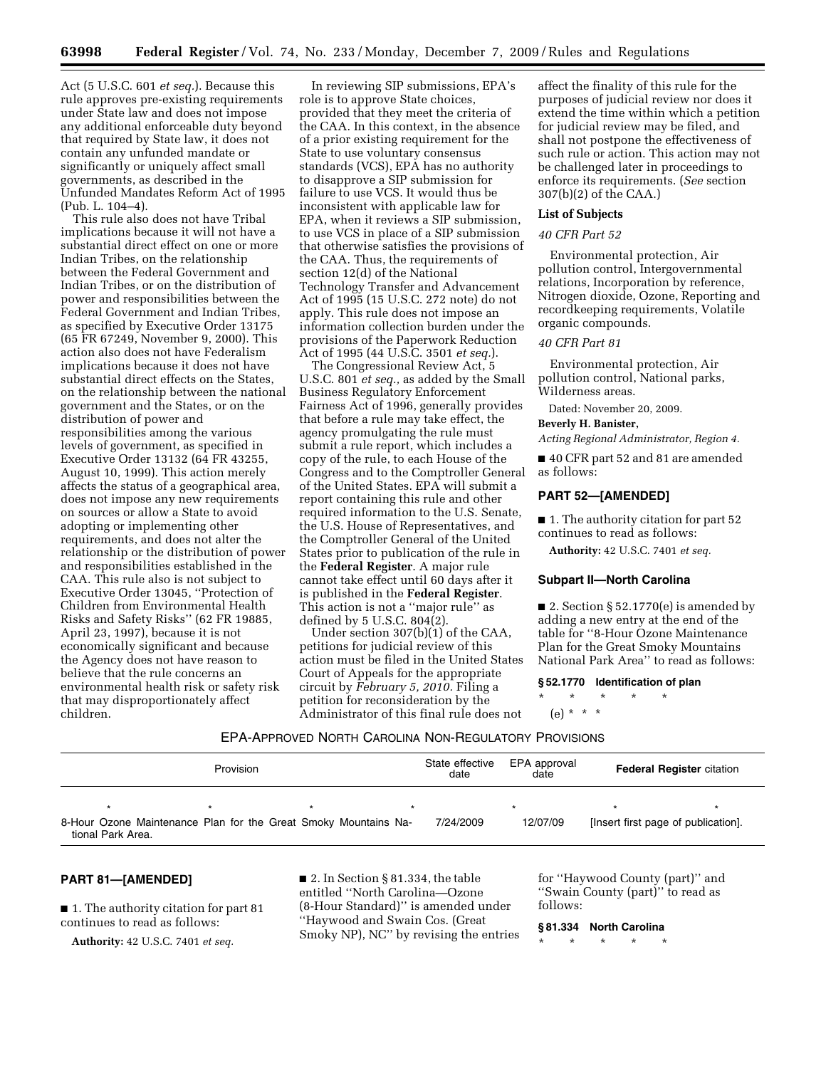Act (5 U.S.C. 601 *et seq.*). Because this rule approves pre-existing requirements under State law and does not impose any additional enforceable duty beyond that required by State law, it does not contain any unfunded mandate or significantly or uniquely affect small governments, as described in the Unfunded Mandates Reform Act of 1995 (Pub. L. 104–4).

This rule also does not have Tribal implications because it will not have a substantial direct effect on one or more Indian Tribes, on the relationship between the Federal Government and Indian Tribes, or on the distribution of power and responsibilities between the Federal Government and Indian Tribes, as specified by Executive Order 13175 (65 FR 67249, November 9, 2000). This action also does not have Federalism implications because it does not have substantial direct effects on the States, on the relationship between the national government and the States, or on the distribution of power and responsibilities among the various levels of government, as specified in Executive Order 13132 (64 FR 43255, August 10, 1999). This action merely affects the status of a geographical area, does not impose any new requirements on sources or allow a State to avoid adopting or implementing other requirements, and does not alter the relationship or the distribution of power and responsibilities established in the CAA. This rule also is not subject to Executive Order 13045, ''Protection of Children from Environmental Health Risks and Safety Risks'' (62 FR 19885, April 23, 1997), because it is not economically significant and because the Agency does not have reason to believe that the rule concerns an environmental health risk or safety risk that may disproportionately affect children.

In reviewing SIP submissions, EPA's role is to approve State choices, provided that they meet the criteria of the CAA. In this context, in the absence of a prior existing requirement for the State to use voluntary consensus standards (VCS), EPA has no authority to disapprove a SIP submission for failure to use VCS. It would thus be inconsistent with applicable law for EPA, when it reviews a SIP submission, to use VCS in place of a SIP submission that otherwise satisfies the provisions of the CAA. Thus, the requirements of section 12(d) of the National Technology Transfer and Advancement Act of 1995 (15 U.S.C. 272 note) do not apply. This rule does not impose an information collection burden under the provisions of the Paperwork Reduction Act of 1995 (44 U.S.C. 3501 *et seq.*).

The Congressional Review Act, 5 U.S.C. 801 *et seq.,* as added by the Small Business Regulatory Enforcement Fairness Act of 1996, generally provides that before a rule may take effect, the agency promulgating the rule must submit a rule report, which includes a copy of the rule, to each House of the Congress and to the Comptroller General of the United States. EPA will submit a report containing this rule and other required information to the U.S. Senate, the U.S. House of Representatives, and the Comptroller General of the United States prior to publication of the rule in the **Federal Register**. A major rule cannot take effect until 60 days after it is published in the **Federal Register**. This action is not a ''major rule'' as defined by 5 U.S.C. 804(2).

Under section 307(b)(1) of the CAA, petitions for judicial review of this action must be filed in the United States Court of Appeals for the appropriate circuit by *February 5, 2010.* Filing a petition for reconsideration by the Administrator of this final rule does not

affect the finality of this rule for the purposes of judicial review nor does it extend the time within which a petition for judicial review may be filed, and shall not postpone the effectiveness of such rule or action. This action may not be challenged later in proceedings to enforce its requirements. (*See* section 307(b)(2) of the CAA.)

# **List of Subjects**

## *40 CFR Part 52*

Environmental protection, Air pollution control, Intergovernmental relations, Incorporation by reference, Nitrogen dioxide, Ozone, Reporting and recordkeeping requirements, Volatile organic compounds.

## *40 CFR Part 81*

Environmental protection, Air pollution control, National parks, Wilderness areas.

Dated: November 20, 2009.

## **Beverly H. Banister,**

*Acting Regional Administrator, Region 4.* 

■ 40 CFR part 52 and 81 are amended as follows:

## **PART 52—[AMENDED]**

■ 1. The authority citation for part 52 continues to read as follows:

**Authority:** 42 U.S.C. 7401 *et seq.* 

#### **Subpart II—North Carolina**

■ 2. Section § 52.1770(e) is amended by adding a new entry at the end of the table for ''8-Hour Ozone Maintenance Plan for the Great Smoky Mountains National Park Area'' to read as follows:

**§ 52.1770 Identification of plan** 

\* \* \* \* \* (e) \* \* \*

# EPA-APPROVED NORTH CAROLINA NON-REGULATORY PROVISIONS

| Provision                                                                            |  | State effective<br>EPA approval<br>date<br>date |           | <b>Federal Register citation</b> |  |                                     |
|--------------------------------------------------------------------------------------|--|-------------------------------------------------|-----------|----------------------------------|--|-------------------------------------|
|                                                                                      |  |                                                 |           |                                  |  |                                     |
| 8-Hour Ozone Maintenance Plan for the Great Smoky Mountains Na-<br>tional Park Area. |  |                                                 | 7/24/2009 | 12/07/09                         |  | [Insert first page of publication]. |

## **PART 81—[AMENDED]**

■ 1. The authority citation for part 81 continues to read as follows:

**Authority:** 42 U.S.C. 7401 *et seq.* 

■ 2. In Section § 81.334, the table entitled ''North Carolina—Ozone (8-Hour Standard)'' is amended under ''Haywood and Swain Cos. (Great Smoky NP), NC'' by revising the entries

for ''Haywood County (part)'' and ''Swain County (part)'' to read as follows:

#### **§ 81.334 North Carolina**

\* \* \* \* \*